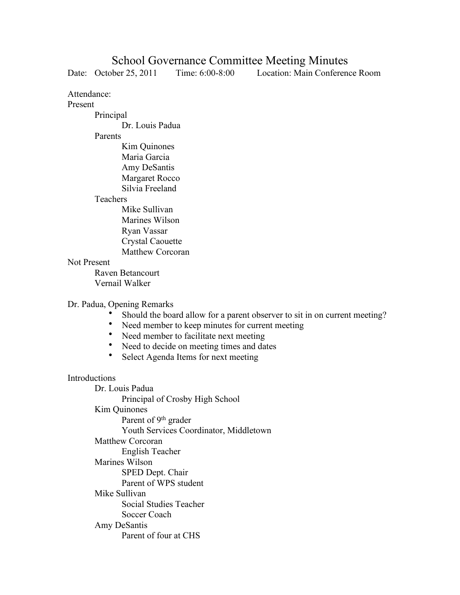# School Governance Committee Meeting Minutes

Date: October 25, 2011 Time: 6:00-8:00 Location: Main Conference Room

Attendance:

#### Present

Principal

Dr. Louis Padua

## Parents

Kim Quinones Maria Garcia Amy DeSantis Margaret Rocco Silvia Freeland

### Teachers

Mike Sullivan Marines Wilson Ryan Vassar Crystal Caouette Matthew Corcoran

### Not Present

Raven Betancourt Vernail Walker

## Dr. Padua, Opening Remarks

- Should the board allow for a parent observer to sit in on current meeting?
- Need member to keep minutes for current meeting
- Need member to facilitate next meeting<br>• Need to decide on meeting times and da
- Need to decide on meeting times and dates
- Select Agenda Items for next meeting

## Introductions

Dr. Louis Padua Principal of Crosby High School Kim Quinones Parent of 9<sup>th</sup> grader Youth Services Coordinator, Middletown Matthew Corcoran English Teacher Marines Wilson SPED Dept. Chair Parent of WPS student Mike Sullivan Social Studies Teacher Soccer Coach Amy DeSantis Parent of four at CHS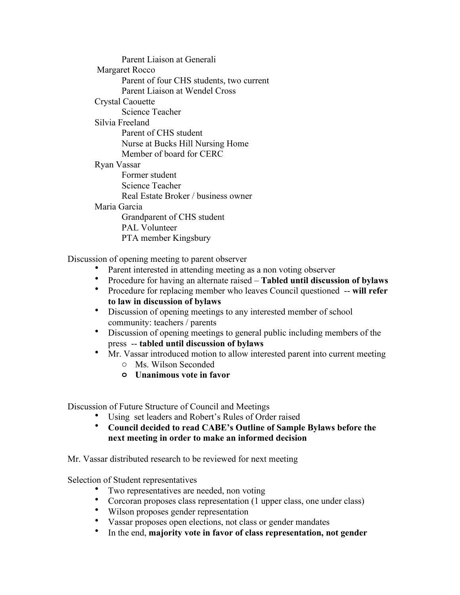Parent Liaison at Generali Margaret Rocco Parent of four CHS students, two current Parent Liaison at Wendel Cross Crystal Caouette Science Teacher Silvia Freeland Parent of CHS student Nurse at Bucks Hill Nursing Home Member of board for CERC Ryan Vassar Former student Science Teacher Real Estate Broker / business owner Maria Garcia Grandparent of CHS student PAL Volunteer PTA member Kingsbury

Discussion of opening meeting to parent observer

- Parent interested in attending meeting as a non voting observer<br>• Procedure for having an alternate raised Tabled until discuss
- Procedure for having an alternate raised **Tabled until discussion of bylaws**
- Procedure for replacing member who leaves Council questioned -- **will refer to law in discussion of bylaws**
- Discussion of opening meetings to any interested member of school community: teachers / parents
- Discussion of opening meetings to general public including members of the press -- **tabled until discussion of bylaws**
- Mr. Vassar introduced motion to allow interested parent into current meeting
	- o Ms. Wilson Seconded
	- **o Unanimous vote in favor**

Discussion of Future Structure of Council and Meetings

- Using set leaders and Robert's Rules of Order raised
- **Council decided to read CABE's Outline of Sample Bylaws before the next meeting in order to make an informed decision**

Mr. Vassar distributed research to be reviewed for next meeting

Selection of Student representatives

- Two representatives are needed, non voting
- Corcoran proposes class representation (1 upper class, one under class)
- Wilson proposes gender representation
- Vassar proposes open elections, not class or gender mandates
- In the end, **majority vote in favor of class representation, not gender**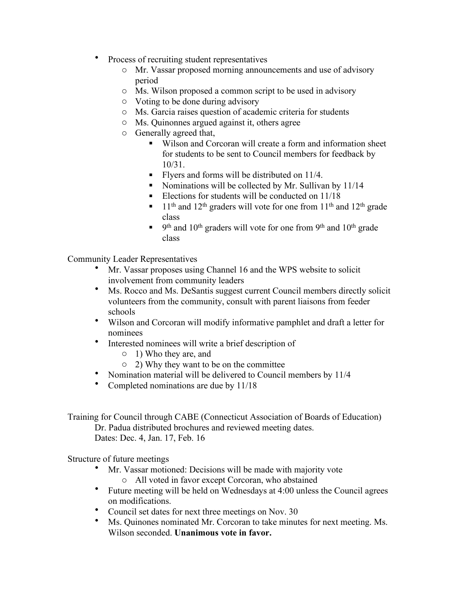- Process of recruiting student representatives
	- o Mr. Vassar proposed morning announcements and use of advisory period
	- o Ms. Wilson proposed a common script to be used in advisory
	- o Voting to be done during advisory
	- o Ms. Garcia raises question of academic criteria for students
	- o Ms. Quinonnes argued against it, others agree
	- o Generally agreed that,
		- Wilson and Corcoran will create a form and information sheet for students to be sent to Council members for feedback by 10/31.
		- Flyers and forms will be distributed on 11/4.
		- Nominations will be collected by Mr. Sullivan by 11/14
		- Elections for students will be conducted on  $11/18$
		- $11<sup>th</sup>$  and 12<sup>th</sup> graders will vote for one from 11<sup>th</sup> and 12<sup>th</sup> grade class
		- $\bullet$  9<sup>th</sup> and 10<sup>th</sup> graders will vote for one from 9<sup>th</sup> and 10<sup>th</sup> grade class

Community Leader Representatives

- Mr. Vassar proposes using Channel 16 and the WPS website to solicit involvement from community leaders
- Ms. Rocco and Ms. DeSantis suggest current Council members directly solicit volunteers from the community, consult with parent liaisons from feeder schools
- Wilson and Corcoran will modify informative pamphlet and draft a letter for nominees
- Interested nominees will write a brief description of
	- o 1) Who they are, and
	- o 2) Why they want to be on the committee
- Nomination material will be delivered to Council members by 11/4
- Completed nominations are due by 11/18

Training for Council through CABE (Connecticut Association of Boards of Education) Dr. Padua distributed brochures and reviewed meeting dates.

Dates: Dec. 4, Jan. 17, Feb. 16

Structure of future meetings

- Mr. Vassar motioned: Decisions will be made with majority vote o All voted in favor except Corcoran, who abstained
- Future meeting will be held on Wednesdays at 4:00 unless the Council agrees on modifications.
- Council set dates for next three meetings on Nov. 30
- Ms. Quinones nominated Mr. Corcoran to take minutes for next meeting. Ms. Wilson seconded. **Unanimous vote in favor.**